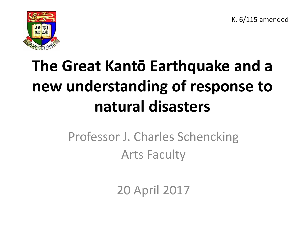K. 6/115 amended



### **The Great Kantō Earthquake and a new understanding of response to natural disasters**

### Professor J. Charles Schencking Arts Faculty

20 April 2017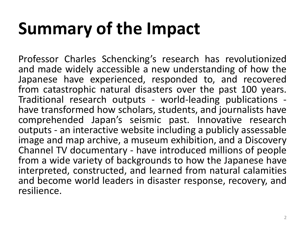# **Summary of the Impact**

Professor Charles Schencking's research has revolutionized and made widely accessible a new understanding of how the Japanese have experienced, responded to, and recovered from catastrophic natural disasters over the past 100 years. Traditional research outputs - world-leading publications have transformed how scholars, students, and journalists have comprehended Japan's seismic past. Innovative research outputs - an interactive website including a publicly assessable image and map archive, a museum exhibition, and a Discovery Channel TV documentary - have introduced millions of people from a wide variety of backgrounds to how the Japanese have interpreted, constructed, and learned from natural calamities and become world leaders in disaster response, recovery, and resilience.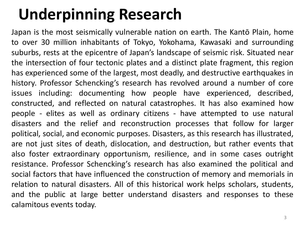### **Underpinning Research**

Japan is the most seismically vulnerable nation on earth. The Kantō Plain, home to over 30 million inhabitants of Tokyo, Yokohama, Kawasaki and surrounding suburbs, rests at the epicentre of Japan's landscape of seismic risk. Situated near the intersection of four tectonic plates and a distinct plate fragment, this region has experienced some of the largest, most deadly, and destructive earthquakes in history. Professor Schencking's research has revolved around a number of core issues including: documenting how people have experienced, described, constructed, and reflected on natural catastrophes. It has also examined how people - elites as well as ordinary citizens - have attempted to use natural disasters and the relief and reconstruction processes that follow for larger political, social, and economic purposes. Disasters, as this research has illustrated, are not just sites of death, dislocation, and destruction, but rather events that also foster extraordinary opportunism, resilience, and in some cases outright resistance. Professor Schencking's research has also examined the political and social factors that have influenced the construction of memory and memorials in relation to natural disasters. All of this historical work helps scholars, students, and the public at large better understand disasters and responses to these calamitous events today.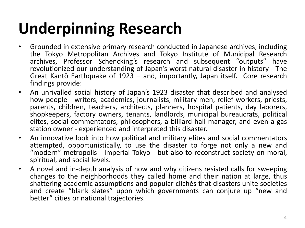### **Underpinning Research**

- Grounded in extensive primary research conducted in Japanese archives, including the Tokyo Metropolitan Archives and Tokyo Institute of Municipal Research archives, Professor Schencking's research and subsequent "outputs" have revolutionized our understanding of Japan's worst natural disaster in history - The Great Kantō Earthquake of 1923 – and, importantly, Japan itself. Core research findings provide:
- An unrivalled social history of Japan's 1923 disaster that described and analysed how people - writers, academics, journalists, military men, relief workers, priests, parents, children, teachers, architects, planners, hospital patients, day laborers, shopkeepers, factory owners, tenants, landlords, municipal bureaucrats, political elites, social commentators, philosophers, a billiard hall manager, and even a gas station owner - experienced and interpreted this disaster.
- An innovative look into how political and military elites and social commentators attempted, opportunistically, to use the disaster to forge not only a new and "modern" metropolis - Imperial Tokyo - but also to reconstruct society on moral, spiritual, and social levels.
- A novel and in-depth analysis of how and why citizens resisted calls for sweeping changes to the neighborhoods they called home and their nation at large, thus shattering academic assumptions and popular clichés that disasters unite societies and create "blank slates" upon which governments can conjure up "new and better" cities or national trajectories.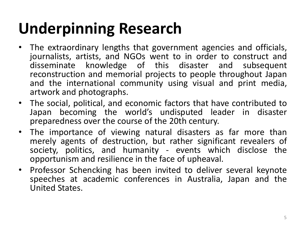### **Underpinning Research**

- The extraordinary lengths that government agencies and officials, journalists, artists, and NGOs went to in order to construct and disseminate knowledge of this disaster and subsequent reconstruction and memorial projects to people throughout Japan and the international community using visual and print media, artwork and photographs.
- The social, political, and economic factors that have contributed to Japan becoming the world's undisputed leader in disaster preparedness over the course of the 20th century.
- The importance of viewing natural disasters as far more than merely agents of destruction, but rather significant revealers of society, politics, and humanity - events which disclose the opportunism and resilience in the face of upheaval.
- Professor Schencking has been invited to deliver several keynote speeches at academic conferences in Australia, Japan and the United States.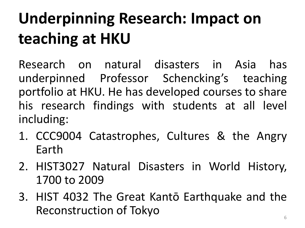## **Underpinning Research: Impact on teaching at HKU**

Research on natural disasters in Asia has underpinned Professor Schencking's teaching portfolio at HKU. He has developed courses to share his research findings with students at all level including:

- 1. CCC9004 Catastrophes, Cultures & the Angry Earth
- 2. HIST3027 Natural Disasters in World History, 1700 to 2009
- 3. HIST 4032 The Great Kantō Earthquake and the Reconstruction of Tokyo **600 August 2012**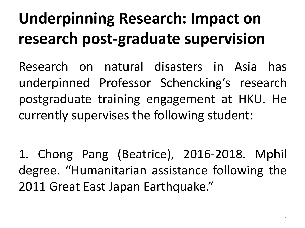### **Underpinning Research: Impact on research post-graduate supervision**

Research on natural disasters in Asia has underpinned Professor Schencking's research postgraduate training engagement at HKU. He currently supervises the following student:

1. Chong Pang (Beatrice), 2016-2018. Mphil degree. "Humanitarian assistance following the 2011 Great East Japan Earthquake."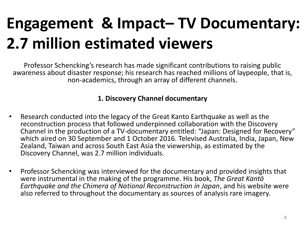### **Engagement & Impact– TV Documentary: 2.7 million estimated viewers**

Professor Schencking's research has made significant contributions to raising public awareness about disaster response; his research has reached millions of laypeople, that is, non-academics, through an array of different channels.

#### **1. Discovery Channel documentary**

- Research conducted into the legacy of the Great Kanto Earthquake as well as the reconstruction process that followed underpinned collaboration with the Discovery Channel in the production of a TV-documentary entitled: "Japan: Designed for Recovery" which aired on 30 September and 1 October 2016. Televised Australia, India, Japan, New Zealand, Taiwan and across South East Asia the viewership, as estimated by the Discovery Channel, was 2.7 million individuals.
- Professor Schencking was interviewed for the documentary and provided insights that were instrumental in the making of the programme. His book, *The Great Kantō Earthquake and the Chimera of National Reconstruction in Japan*, and his website were also referred to throughout the documentary as sources of analysis rare imagery.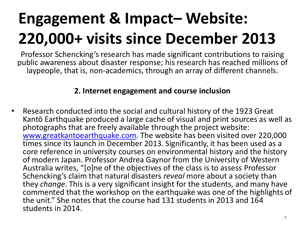### **Engagement & Impact– Website: 220,000+ visits since December 2013**

Professor Schencking's research has made significant contributions to raising public awareness about disaster response; his research has reached millions of laypeople, that is, non-academics, through an array of different channels.

#### **2. Internet engagement and course inclusion**

• Research conducted into the social and cultural history of the 1923 Great Kantō Earthquake produced a large cache of visual and print sources as well as photographs that are freely available through the project website: [www.greatkantoearthquake.com](http://www.greatkantoearthquake.com). The website has been visited over 220,000 times since its launch in December 2013. Significantly, it has been used as a core reference in university courses on environmental history and the history of modern Japan. Professor Andrea Gaynor from the University of Western Australia writes, "[o]ne of the objectives of the class is to assess Professor Schencking's claim that natural disasters *reveal* more about a society than they *change*. This is a very significant insight for the students, and many have commented that the workshop on the earthquake was one of the highlights of the unit." She notes that the course had 131 students in 2013 and 164 students in 2014.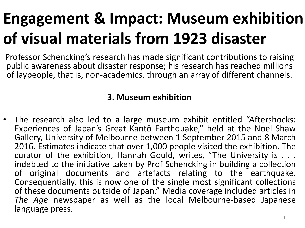### **Engagement & Impact: Museum exhibition of visual materials from 1923 disaster**

Professor Schencking's research has made significant contributions to raising public awareness about disaster response; his research has reached millions of laypeople, that is, non-academics, through an array of different channels.

### **3. Museum exhibition**

• The research also led to a large museum exhibit entitled "Aftershocks: Experiences of Japan's Great Kantō Earthquake," held at the Noel Shaw Gallery, University of Melbourne between 1 September 2015 and 8 March 2016. Estimates indicate that over 1,000 people visited the exhibition. The curator of the exhibition, Hannah Gould, writes, "The University is . . . indebted to the initiative taken by Prof Schencking in building a collection of original documents and artefacts relating to the earthquake. Consequentially, this is now one of the single most significant collections of these documents outside of Japan." Media coverage included articles in *The Age* newspaper as well as the local Melbourne-based Japanese language press.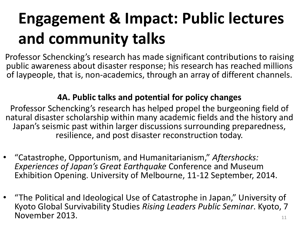### **Engagement & Impact: Public lectures and community talks**

Professor Schencking's research has made significant contributions to raising public awareness about disaster response; his research has reached millions of laypeople, that is, non-academics, through an array of different channels.

### **4A. Public talks and potential for policy changes**

Professor Schencking's research has helped propel the burgeoning field of natural disaster scholarship within many academic fields and the history and Japan's seismic past within larger discussions surrounding preparedness, resilience, and post disaster reconstruction today.

- "Catastrophe, Opportunism, and Humanitarianism," *Aftershocks: Experiences of Japan's Great Earthquake* Conference and Museum Exhibition Opening. University of Melbourne, 11-12 September, 2014.
- "The Political and Ideological Use of Catastrophe in Japan," University of Kyoto Global Survivability Studies *Rising Leaders Public Seminar*. Kyoto, 7 November 2013. 11 and 2013.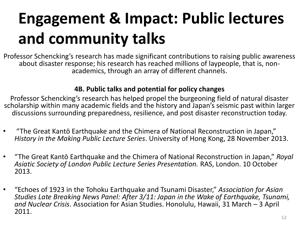### **Engagement & Impact: Public lectures and community talks**

Professor Schencking's research has made significant contributions to raising public awareness about disaster response; his research has reached millions of laypeople, that is, nonacademics, through an array of different channels.

#### **4B. Public talks and potential for policy changes**

Professor Schencking's research has helped propel the burgeoning field of natural disaster scholarship within many academic fields and the history and Japan's seismic past within larger discussions surrounding preparedness, resilience, and post disaster reconstruction today.

- "The Great Kantō Earthquake and the Chimera of National Reconstruction in Japan," *History in the Making Public Lecture Series*. University of Hong Kong, 28 November 2013.
- "The Great Kantō Earthquake and the Chimera of National Reconstruction in Japan," *Royal Asiatic Society of London Public Lecture Series Presentation.* RAS, London. 10 October 2013.
- "Echoes of 1923 in the Tohoku Earthquake and Tsunami Disaster," *Association for Asian Studies Late Breaking News Panel: After 3/11: Japan in the Wake of Earthquake, Tsunami, and Nuclear Crisis*. Association for Asian Studies. Honolulu, Hawaii, 31 March – 3 April 2011.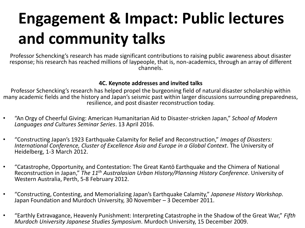### **Engagement & Impact: Public lectures and community talks**

Professor Schencking's research has made significant contributions to raising public awareness about disaster response; his research has reached millions of laypeople, that is, non-academics, through an array of different channels.

#### **4C. Keynote addresses and invited talks**

Professor Schencking's research has helped propel the burgeoning field of natural disaster scholarship within many academic fields and the history and Japan's seismic past within larger discussions surrounding preparedness, resilience, and post disaster reconstruction today.

- "An Orgy of Cheerful Giving: American Humanitarian Aid to Disaster-stricken Japan," *School of Modern Languages and Cultures Seminar Series*. 13 April 2016.
- "Constructing Japan's 1923 Earthquake Calamity for Relief and Reconstruction," *Images of Disasters: International Conference, Cluster of Excellence Asia and Europe in a Global Context*. The University of Heidelberg, 1-3 March 2012.
- "Catastrophe, Opportunity, and Contestation: The Great Kantō Earthquake and the Chimera of National Reconstruction in Japan," *The 11th Australasian Urban History/Planning History Conference*. University of Western Australia, Perth, 5-8 February 2012.
- "Constructing, Contesting, and Memorializing Japan's Earthquake Calamity," *Japanese History Workshop*. Japan Foundation and Murdoch University, 30 November – 3 December 2011.
- "Earthly Extravagance, Heavenly Punishment: Interpreting Catastrophe in the Shadow of the Great War," *Fifth Murdoch University Japanese Studies Symposium*. Murdoch University, 15 December 2009.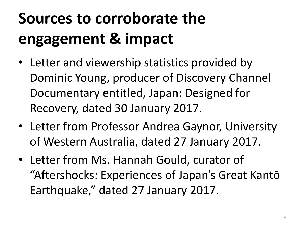### **Sources to corroborate the engagement & impact**

- Letter and viewership statistics provided by Dominic Young, producer of Discovery Channel Documentary entitled, Japan: Designed for Recovery, dated 30 January 2017.
- Letter from Professor Andrea Gaynor, University of Western Australia, dated 27 January 2017.
- Letter from Ms. Hannah Gould, curator of "Aftershocks: Experiences of Japan's Great Kantō Earthquake," dated 27 January 2017.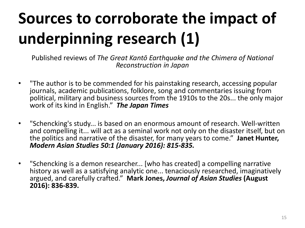## **Sources to corroborate the impact of underpinning research (1)**

- "The author is to be commended for his painstaking research, accessing popular journals, academic publications, folklore, song and commentaries issuing from political, military and business sources from the 1910s to the 20s... the only major work of its kind in English." *The Japan Times*
- "Schencking's study... is based on an enormous amount of research. Well-written and compelling it... will act as a seminal work not only on the disaster itself, but on the politics and narrative of the disaster, for many years to come." **Janet Hunter,**  *Modern Asian Studies 50:1 (January 2016): 815-835.*
- "Schencking is a demon researcher... [who has created] a compelling narrative history as well as a satisfying analytic one... tenaciously researched, imaginatively argued, and carefully crafted." **Mark Jones,** *Journal of Asian Studies* **(August 2016): 836-839.**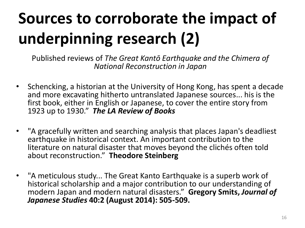## **Sources to corroborate the impact of underpinning research (2)**

- Schencking, a historian at the University of Hong Kong, has spent a decade and more excavating hitherto untranslated Japanese sources... his is the first book, either in English or Japanese, to cover the entire story from 1923 up to 1930." *The LA Review of Books*
- "A gracefully written and searching analysis that places Japan's deadliest earthquake in historical context. An important contribution to the literature on natural disaster that moves beyond the clichés often told about reconstruction." **Theodore Steinberg**
- "A meticulous study... The Great Kanto Earthquake is a superb work of historical scholarship and a major contribution to our understanding of modern Japan and modern natural disasters." **Gregory Smits,** *Journal of Japanese Studies* **40:2 (August 2014): 505-509.**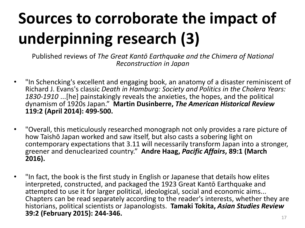## **Sources to corroborate the impact of underpinning research (3)**

- "In Schencking's excellent and engaging book, an anatomy of a disaster reminiscent of Richard J. Evans's classic *Death in Hamburg: Society and Politics in the Cholera Years: 1830-1910* ...[he] painstakingly reveals the anxieties, the hopes, and the political dynamism of 1920s Japan." **Martin Dusinberre,** *The American Historical Review* **119:2 (April 2014): 499-500.**
- "Overall, this meticulously researched monograph not only provides a rare picture of how Taishō Japan worked and saw itself, but also casts a sobering light on contemporary expectations that 3.11 will necessarily transform Japan into a stronger, greener and denuclearized country." **Andre Haag,** *Pacific Affairs***, 89:1 (March 2016).**
- "In fact, the book is the first study in English or Japanese that details how elites interpreted, constructed, and packaged the 1923 Great Kantō Earthquake and attempted to use it for larger political, ideological, social and economic aims... Chapters can be read separately according to the reader's interests, whether they are historians, political scientists or Japanologists. **Tamaki Tokita,** *Asian Studies Review* **39:2 (February 2015): 244-346.**